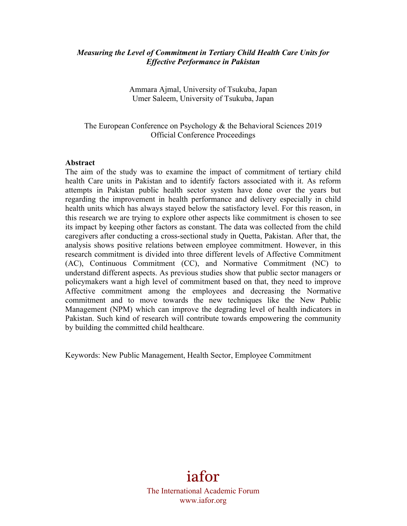#### *Measuring the Level of Commitment in Tertiary Child Health Care Units for Effective Performance in Pakistan*

Ammara Ajmal, University of Tsukuba, Japan Umer Saleem, University of Tsukuba, Japan

The European Conference on Psychology & the Behavioral Sciences 2019 Official Conference Proceedings

#### **Abstract**

The aim of the study was to examine the impact of commitment of tertiary child health Care units in Pakistan and to identify factors associated with it. As reform attempts in Pakistan public health sector system have done over the years but regarding the improvement in health performance and delivery especially in child health units which has always stayed below the satisfactory level. For this reason, in this research we are trying to explore other aspects like commitment is chosen to see its impact by keeping other factors as constant. The data was collected from the child caregivers after conducting a cross-sectional study in Quetta, Pakistan. After that, the analysis shows positive relations between employee commitment. However, in this research commitment is divided into three different levels of Affective Commitment (AC), Continuous Commitment (CC), and Normative Commitment (NC) to understand different aspects. As previous studies show that public sector managers or policymakers want a high level of commitment based on that, they need to improve Affective commitment among the employees and decreasing the Normative commitment and to move towards the new techniques like the New Public Management (NPM) which can improve the degrading level of health indicators in Pakistan. Such kind of research will contribute towards empowering the community by building the committed child healthcare.

Keywords: New Public Management, Health Sector, Employee Commitment

iafor The International Academic Forum www.iafor.org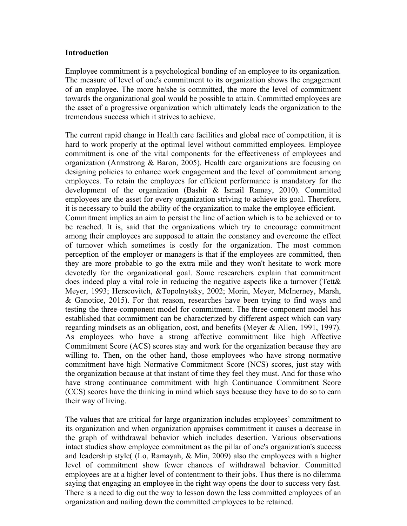#### **Introduction**

Employee commitment is a psychological bonding of an employee to its organization. The measure of level of one's commitment to its organization shows the engagement of an employee. The more he/she is committed, the more the level of commitment towards the organizational goal would be possible to attain. Committed employees are the asset of a progressive organization which ultimately leads the organization to the tremendous success which it strives to achieve.

The current rapid change in Health care facilities and global race of competition, it is hard to work properly at the optimal level without committed employees. Employee commitment is one of the vital components for the effectiveness of employees and organization (Armstrong & Baron, 2005). Health care organizations are focusing on designing policies to enhance work engagement and the level of commitment among employees. To retain the employees for efficient performance is mandatory for the development of the organization (Bashir & Ismail Ramay, 2010). Committed employees are the asset for every organization striving to achieve its goal. Therefore, it is necessary to build the ability of the organization to make the employee efficient. Commitment implies an aim to persist the line of action which is to be achieved or to be reached. It is, said that the organizations which try to encourage commitment among their employees are supposed to attain the constancy and overcome the effect of turnover which sometimes is costly for the organization. The most common perception of the employer or managers is that if the employees are committed, then they are more probable to go the extra mile and they won't hesitate to work more devotedly for the organizational goal. Some researchers explain that commitment does indeed play a vital role in reducing the negative aspects like a turnover (Tett& Meyer, 1993; Herscovitch, &Topolnytsky, 2002; Morin, Meyer, McInerney, Marsh, & Ganotice, 2015). For that reason, researches have been trying to find ways and testing the three-component model for commitment. The three-component model has established that commitment can be characterized by different aspect which can vary regarding mindsets as an obligation, cost, and benefits (Meyer & Allen, 1991, 1997). As employees who have a strong affective commitment like high Affective Commitment Score (ACS) scores stay and work for the organization because they are willing to. Then, on the other hand, those employees who have strong normative commitment have high Normative Commitment Score (NCS) scores, just stay with the organization because at that instant of time they feel they must. And for those who have strong continuance commitment with high Continuance Commitment Score (CCS) scores have the thinking in mind which says because they have to do so to earn their way of living.

The values that are critical for large organization includes employees' commitment to its organization and when organization appraises commitment it causes a decrease in the graph of withdrawal behavior which includes desertion. Various observations intact studies show employee commitment as the pillar of one's organization's success and leadership style( (Lo, Ramayah, & Min, 2009) also the employees with a higher level of commitment show fewer chances of withdrawal behavior. Committed employees are at a higher level of contentment to their jobs. Thus there is no dilemma saying that engaging an employee in the right way opens the door to success very fast. There is a need to dig out the way to lesson down the less committed employees of an organization and nailing down the committed employees to be retained.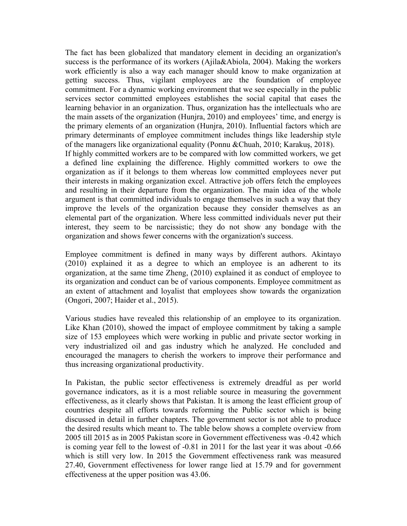The fact has been globalized that mandatory element in deciding an organization's success is the performance of its workers (Ajila&Abiola, 2004). Making the workers work efficiently is also a way each manager should know to make organization at getting success. Thus, vigilant employees are the foundation of employee commitment. For a dynamic working environment that we see especially in the public services sector committed employees establishes the social capital that eases the learning behavior in an organization. Thus, organization has the intellectuals who are the main assets of the organization (Hunjra, 2010) and employees' time, and energy is the primary elements of an organization (Hunjra, 2010). Influential factors which are primary determinants of employee commitment includes things like leadership style of the managers like organizational equality (Ponnu &Chuah, 2010; Karakuş, 2018). If highly committed workers are to be compared with low committed workers, we get a defined line explaining the difference. Highly committed workers to owe the organization as if it belongs to them whereas low committed employees never put their interests in making organization excel. Attractive job offers fetch the employees and resulting in their departure from the organization. The main idea of the whole argument is that committed individuals to engage themselves in such a way that they improve the levels of the organization because they consider themselves as an elemental part of the organization. Where less committed individuals never put their interest, they seem to be narcissistic; they do not show any bondage with the organization and shows fewer concerns with the organization's success.

Employee commitment is defined in many ways by different authors. Akintayo (2010) explained it as a degree to which an employee is an adherent to its organization, at the same time Zheng, (2010) explained it as conduct of employee to its organization and conduct can be of various components. Employee commitment as an extent of attachment and loyalist that employees show towards the organization (Ongori, 2007; Haider et al., 2015).

Various studies have revealed this relationship of an employee to its organization. Like Khan (2010), showed the impact of employee commitment by taking a sample size of 153 employees which were working in public and private sector working in very industrialized oil and gas industry which he analyzed. He concluded and encouraged the managers to cherish the workers to improve their performance and thus increasing organizational productivity.

In Pakistan, the public sector effectiveness is extremely dreadful as per world governance indicators, as it is a most reliable source in measuring the government effectiveness, as it clearly shows that Pakistan. It is among the least efficient group of countries despite all efforts towards reforming the Public sector which is being discussed in detail in further chapters. The government sector is not able to produce the desired results which meant to. The table below shows a complete overview from 2005 till 2015 as in 2005 Pakistan score in Government effectiveness was -0.42 which is coming year fell to the lowest of -0.81 in 2011 for the last year it was about -0.66 which is still very low. In 2015 the Government effectiveness rank was measured 27.40, Government effectiveness for lower range lied at 15.79 and for government effectiveness at the upper position was 43.06.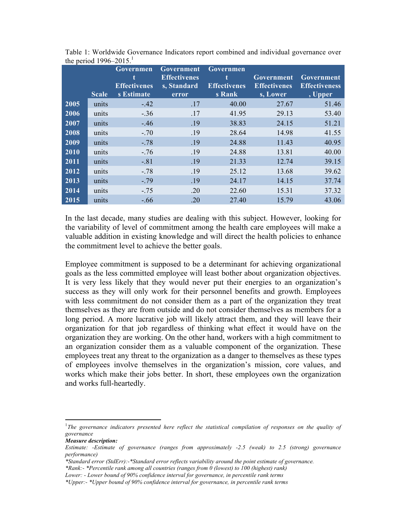|      |              | Governmen<br>t<br><b>Effectivenes</b> | Government<br><b>Effectivenes</b> | <b>Governmen</b><br><b>Effectivenes</b> | Government<br><b>Effectivenes</b> | Government<br><b>Effectiveness</b> |
|------|--------------|---------------------------------------|-----------------------------------|-----------------------------------------|-----------------------------------|------------------------------------|
|      | <b>Scale</b> | s Estimate                            | s, Standard<br>error              | s Rank                                  | s, Lower                          | , Upper                            |
| 2005 | units        | $-.42$                                | .17                               | 40.00                                   | 27.67                             | 51.46                              |
| 2006 | units        | $-.36$                                | .17                               | 41.95                                   | 29.13                             | 53.40                              |
| 2007 | units        | $-.46$                                | .19                               | 38.83                                   | 24.15                             | 51.21                              |
| 2008 | units        | $-.70$                                | .19                               | 28.64                                   | 14.98                             | 41.55                              |
| 2009 | units        | $-.78$                                | .19                               | 24.88                                   | 11.43                             | 40.95                              |
| 2010 | units        | $-.76$                                | .19                               | 24.88                                   | 13.81                             | 40.00                              |
| 2011 | units        | $-.81$                                | .19                               | 21.33                                   | 12.74                             | 39.15                              |
| 2012 | units        | $-.78$                                | .19                               | 25.12                                   | 13.68                             | 39.62                              |
| 2013 | units        | $-.79$                                | .19                               | 24.17                                   | 14.15                             | 37.74                              |
| 2014 | units        | $-.75$                                | .20                               | 22.60                                   | 15.31                             | 37.32                              |
| 2015 | units        | $-.66$                                | .20                               | 27.40                                   | 15.79                             | 43.06                              |

Table 1: Worldwide Governance Indicators report combined and individual governance over the period  $1996-2015$ <sup>1</sup>

In the last decade, many studies are dealing with this subject. However, looking for the variability of level of commitment among the health care employees will make a valuable addition in existing knowledge and will direct the health policies to enhance the commitment level to achieve the better goals.

Employee commitment is supposed to be a determinant for achieving organizational goals as the less committed employee will least bother about organization objectives. It is very less likely that they would never put their energies to an organization's success as they will only work for their personnel benefits and growth. Employees with less commitment do not consider them as a part of the organization they treat themselves as they are from outside and do not consider themselves as members for a long period. A more lucrative job will likely attract them, and they will leave their organization for that job regardless of thinking what effect it would have on the organization they are working. On the other hand, workers with a high commitment to an organization consider them as a valuable component of the organization. These employees treat any threat to the organization as a danger to themselves as these types of employees involve themselves in the organization's mission, core values, and works which make their jobs better. In short, these employees own the organization and works full-heartedly.

 

<sup>&</sup>lt;sup>1</sup>The governance indicators presented here reflect the statistical compilation of responses on the quality of *governance* 

*Measure description:*

*Estimate: -Estimate of governance (ranges from approximately -2.5 (weak) to 2.5 (strong) governance performance)*

*<sup>\*</sup>Standard error (StdErr):-\*Standard error reflects variability around the point estimate of governance.*

*<sup>\*</sup>Rank:- \*Percentile rank among all countries (ranges from 0 (lowest) to 100 (highest) rank)*

*Lower: - Lower bound of 90% confidence interval for governance, in percentile rank terms*

*<sup>\*</sup>Upper:- \*Upper bound of 90% confidence interval for governance, in percentile rank terms*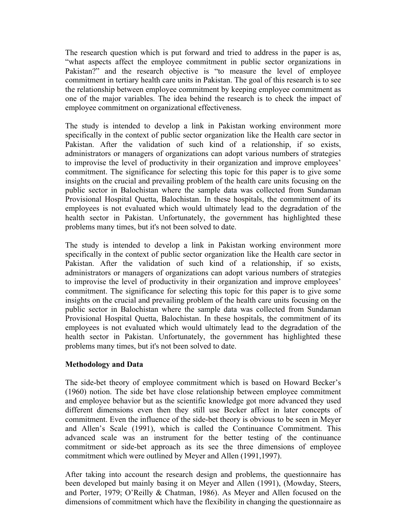The research question which is put forward and tried to address in the paper is as, "what aspects affect the employee commitment in public sector organizations in Pakistan?" and the research objective is "to measure the level of employee commitment in tertiary health care units in Pakistan. The goal of this research is to see the relationship between employee commitment by keeping employee commitment as one of the major variables. The idea behind the research is to check the impact of employee commitment on organizational effectiveness.

The study is intended to develop a link in Pakistan working environment more specifically in the context of public sector organization like the Health care sector in Pakistan. After the validation of such kind of a relationship, if so exists, administrators or managers of organizations can adopt various numbers of strategies to improvise the level of productivity in their organization and improve employees' commitment. The significance for selecting this topic for this paper is to give some insights on the crucial and prevailing problem of the health care units focusing on the public sector in Balochistan where the sample data was collected from Sundaman Provisional Hospital Quetta, Balochistan. In these hospitals, the commitment of its employees is not evaluated which would ultimately lead to the degradation of the health sector in Pakistan. Unfortunately, the government has highlighted these problems many times, but it's not been solved to date.

The study is intended to develop a link in Pakistan working environment more specifically in the context of public sector organization like the Health care sector in Pakistan. After the validation of such kind of a relationship, if so exists, administrators or managers of organizations can adopt various numbers of strategies to improvise the level of productivity in their organization and improve employees' commitment. The significance for selecting this topic for this paper is to give some insights on the crucial and prevailing problem of the health care units focusing on the public sector in Balochistan where the sample data was collected from Sundaman Provisional Hospital Quetta, Balochistan. In these hospitals, the commitment of its employees is not evaluated which would ultimately lead to the degradation of the health sector in Pakistan. Unfortunately, the government has highlighted these problems many times, but it's not been solved to date.

#### **Methodology and Data**

The side-bet theory of employee commitment which is based on Howard Becker's (1960) notion. The side bet have close relationship between employee commitment and employee behavior but as the scientific knowledge got more advanced they used different dimensions even then they still use Becker affect in later concepts of commitment. Even the influence of the side-bet theory is obvious to be seen in Meyer and Allen's Scale (1991), which is called the Continuance Commitment. This advanced scale was an instrument for the better testing of the continuance commitment or side-bet approach as its see the three dimensions of employee commitment which were outlined by Meyer and Allen (1991,1997).

After taking into account the research design and problems, the questionnaire has been developed but mainly basing it on Meyer and Allen (1991), (Mowday, Steers, and Porter, 1979; O'Reilly & Chatman, 1986). As Meyer and Allen focused on the dimensions of commitment which have the flexibility in changing the questionnaire as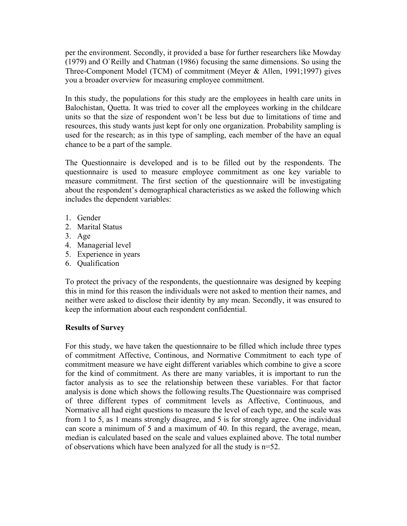per the environment. Secondly, it provided a base for further researchers like Mowday (1979) and O`Reilly and Chatman (1986) focusing the same dimensions. So using the Three-Component Model (TCM) of commitment (Meyer & Allen, 1991;1997) gives you a broader overview for measuring employee commitment.

In this study, the populations for this study are the employees in health care units in Balochistan, Quetta. It was tried to cover all the employees working in the childcare units so that the size of respondent won't be less but due to limitations of time and resources, this study wants just kept for only one organization. Probability sampling is used for the research; as in this type of sampling, each member of the have an equal chance to be a part of the sample.

The Questionnaire is developed and is to be filled out by the respondents. The questionnaire is used to measure employee commitment as one key variable to measure commitment. The first section of the questionnaire will be investigating about the respondent's demographical characteristics as we asked the following which includes the dependent variables:

- 1. Gender
- 2. Marital Status
- 3. Age
- 4. Managerial level
- 5. Experience in years
- 6. Qualification

To protect the privacy of the respondents, the questionnaire was designed by keeping this in mind for this reason the individuals were not asked to mention their names, and neither were asked to disclose their identity by any mean. Secondly, it was ensured to keep the information about each respondent confidential.

## **Results of Survey**

For this study, we have taken the questionnaire to be filled which include three types of commitment Affective, Continous, and Normative Commitment to each type of commitment measure we have eight different variables which combine to give a score for the kind of commitment. As there are many variables, it is important to run the factor analysis as to see the relationship between these variables. For that factor analysis is done which shows the following results.The Questionnaire was comprised of three different types of commitment levels as Affective, Continuous, and Normative all had eight questions to measure the level of each type, and the scale was from 1 to 5, as 1 means strongly disagree, and 5 is for strongly agree. One individual can score a minimum of 5 and a maximum of 40. In this regard, the average, mean, median is calculated based on the scale and values explained above. The total number of observations which have been analyzed for all the study is n=52.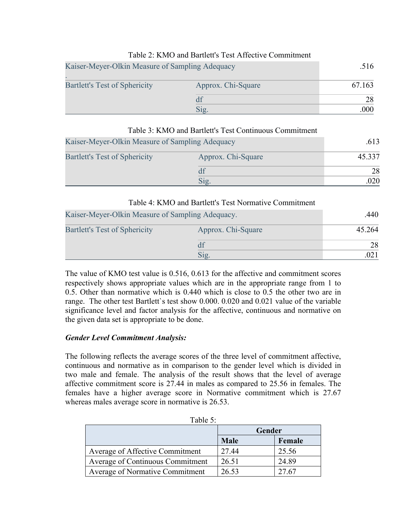## Table 2: KMO and Bartlett's Test Affective Commitment

| Kaiser-Meyer-Olkin Measure of Sampling Adequacy | .516               |        |
|-------------------------------------------------|--------------------|--------|
| <b>Bartlett's Test of Sphericity</b>            | Approx. Chi-Square | 67.163 |
|                                                 | df                 |        |
|                                                 | Sig.               | 000    |

# Table 3: KMO and Bartlett's Test Continuous Commitment Kaiser-Meyer-Olkin Measure of Sampling Adequacy .613 Bartlett's Test of Sphericity Approx. Chi-Square 45.337  $df$  28  $Sig.$  .  $020$

#### Table 4: KMO and Bartlett's Test Normative Commitment

| Kaiser-Meyer-Olkin Measure of Sampling Adequacy. | .440               |        |
|--------------------------------------------------|--------------------|--------|
| <b>Bartlett's Test of Sphericity</b>             | Approx. Chi-Square | 45.264 |
|                                                  | df                 | 28     |
|                                                  | $\mathrm{Sig.}$    |        |

The value of KMO test value is 0.516, 0.613 for the affective and commitment scores respectively shows appropriate values which are in the appropriate range from 1 to 0.5. Other than normative which is 0.440 which is close to 0.5 the other two are in range. The other test Bartlett`s test show 0.000. 0.020 and 0.021 value of the variable significance level and factor analysis for the affective, continuous and normative on the given data set is appropriate to be done.

## *Gender Level Commitment Analysis:*

The following reflects the average scores of the three level of commitment affective, continuous and normative as in comparison to the gender level which is divided in two male and female. The analysis of the result shows that the level of average affective commitment score is 27.44 in males as compared to 25.56 in females. The females have a higher average score in Normative commitment which is 27.67 whereas males average score in normative is 26.53.

| Table 5:                               |             |        |  |
|----------------------------------------|-------------|--------|--|
|                                        | Gender      |        |  |
|                                        | <b>Male</b> | Female |  |
| <b>Average of Affective Commitment</b> | 27.44       | 25.56  |  |
| Average of Continuous Commitment       | 26.51       | 24.89  |  |
| <b>Average of Normative Commitment</b> | 26.53       | 27.67  |  |

| able |  |
|------|--|
|      |  |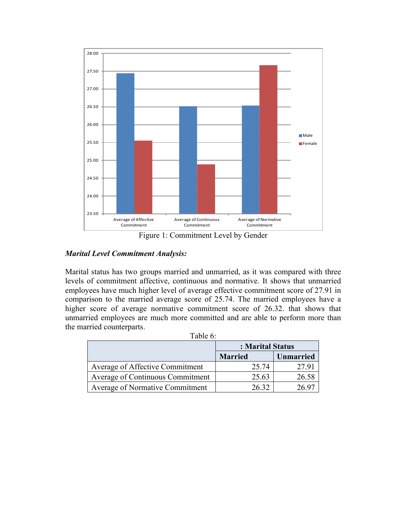

Figure 1: Commitment Level by Gender

## *Marital Level Commitment Analysis:*

Marital status has two groups married and unmarried, as it was compared with three levels of commitment affective, continuous and normative. It shows that unmarried employees have much higher level of average effective commitment score of 27.91 in comparison to the married average score of 25.74. The married employees have a higher score of average normative commitment score of 26.32. that shows that unmarried employees are much more committed and are able to perform more than the married counterparts.

| `able |  |
|-------|--|
|       |  |

|                                        | : Marital Status |                  |
|----------------------------------------|------------------|------------------|
|                                        | <b>Married</b>   | <b>Unmarried</b> |
| Average of Affective Commitment        | 25.74            | 2791             |
| Average of Continuous Commitment       | 25.63            | 26.58            |
| <b>Average of Normative Commitment</b> | 26.32            | 26.97            |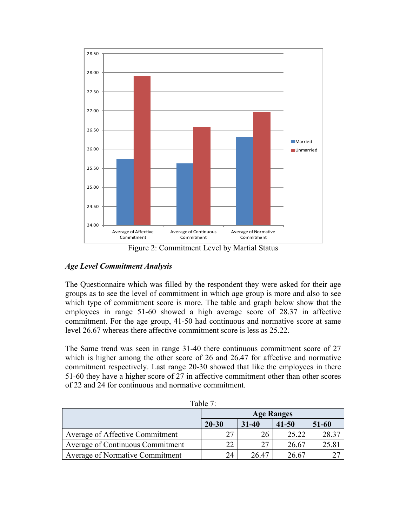

Figure 2: Commitment Level by Martial Status

## *Age Level Commitment Analysis*

The Questionnaire which was filled by the respondent they were asked for their age groups as to see the level of commitment in which age group is more and also to see which type of commitment score is more. The table and graph below show that the employees in range 51-60 showed a high average score of 28.37 in affective commitment. For the age group, 41-50 had continuous and normative score at same level 26.67 whereas there affective commitment score is less as 25.22.

The Same trend was seen in range 31-40 there continuous commitment score of 27 which is higher among the other score of 26 and 26.47 for affective and normative commitment respectively. Last range 20-30 showed that like the employees in there 51-60 they have a higher score of 27 in affective commitment other than other scores of 22 and 24 for continuous and normative commitment.

| rabie 7:                               |                   |           |           |       |  |
|----------------------------------------|-------------------|-----------|-----------|-------|--|
|                                        | <b>Age Ranges</b> |           |           |       |  |
|                                        | $20 - 30$         | $31 - 40$ | $41 - 50$ | 51-60 |  |
| <b>Average of Affective Commitment</b> | 27                | 26        | 25.22     | 28.37 |  |
| Average of Continuous Commitment       | 22                | 27        | 26.67     | 25.81 |  |
| <b>Average of Normative Commitment</b> | 24                | 26 47     | 26.67     |       |  |

 $T<sub>1</sub>: T<sub>2</sub>$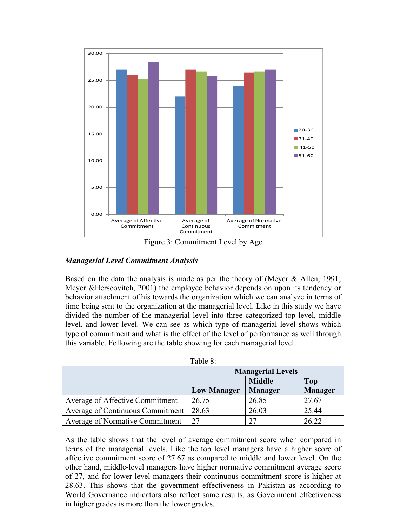

Figure 3: Commitment Level by Age

# *Managerial Level Commitment Analysis*

Based on the data the analysis is made as per the theory of (Meyer & Allen, 1991; Meyer &Herscovitch, 2001) the employee behavior depends on upon its tendency or behavior attachment of his towards the organization which we can analyze in terms of time being sent to the organization at the managerial level. Like in this study we have divided the number of the managerial level into three categorized top level, middle level, and lower level. We can see as which type of managerial level shows which type of commitment and what is the effect of the level of performance as well through this variable, Following are the table showing for each managerial level.

|                                  | Table 8:                 |                |                |
|----------------------------------|--------------------------|----------------|----------------|
|                                  | <b>Managerial Levels</b> |                |                |
|                                  |                          | <b>Middle</b>  | <b>Top</b>     |
|                                  | <b>Low Manager</b>       | <b>Manager</b> | <b>Manager</b> |
| Average of Affective Commitment  | 26.75                    | 26.85          | 27.67          |
| Average of Continuous Commitment | 28.63                    | 26.03          | 25.44          |
| Average of Normative Commitment  | 27                       | 27             | 26.22          |

 $T110$ 

As the table shows that the level of average commitment score when compared in terms of the managerial levels. Like the top level managers have a higher score of affective commitment score of 27.67 as compared to middle and lower level. On the other hand, middle-level managers have higher normative commitment average score of 27, and for lower level managers their continuous commitment score is higher at 28.63. This shows that the government effectiveness in Pakistan as according to World Governance indicators also reflect same results, as Government effectiveness in higher grades is more than the lower grades.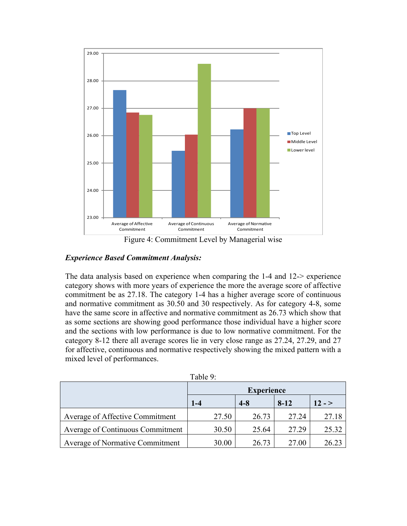

Figure 4: Commitment Level by Managerial wise

## *Experience Based Commitment Analysis:*

The data analysis based on experience when comparing the 1-4 and 12-> experience category shows with more years of experience the more the average score of affective commitment be as 27.18. The category 1-4 has a higher average score of continuous and normative commitment as 30.50 and 30 respectively. As for category 4-8, some have the same score in affective and normative commitment as 26.73 which show that as some sections are showing good performance those individual have a higher score and the sections with low performance is due to low normative commitment. For the category 8-12 there all average scores lie in very close range as 27.24, 27.29, and 27 for affective, continuous and normative respectively showing the mixed pattern with a mixed level of performances.

|                                        | Table 9.          |         |          |          |
|----------------------------------------|-------------------|---------|----------|----------|
|                                        | <b>Experience</b> |         |          |          |
|                                        | $1 - 4$           | $4 - 8$ | $8 - 12$ | $12 - 5$ |
| Average of Affective Commitment        | 27.50             | 26.73   | 27.24    | 27.18    |
| Average of Continuous Commitment       | 30.50             | 25.64   | 27.29    | 25.32    |
| <b>Average of Normative Commitment</b> | 30.00             | 26.73   | 27.00    | 26.23    |

 $Table 9:$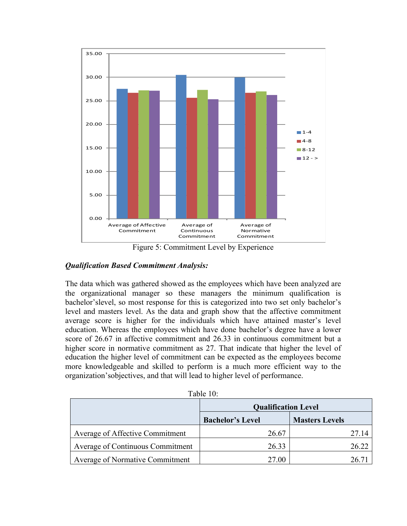

Figure 5: Commitment Level by Experience

## *Qualification Based Commitment Analysis:*

The data which was gathered showed as the employees which have been analyzed are the organizational manager so these managers the minimum qualification is bachelor'slevel, so most response for this is categorized into two set only bachelor's level and masters level. As the data and graph show that the affective commitment average score is higher for the individuals which have attained master's level education. Whereas the employees which have done bachelor's degree have a lower score of 26.67 in affective commitment and 26.33 in continuous commitment but a higher score in normative commitment as 27. That indicate that higher the level of education the higher level of commitment can be expected as the employees become more knowledgeable and skilled to perform is a much more efficient way to the organization'sobjectives, and that will lead to higher level of performance.

| TUUIVIU.                               |                            |                       |  |  |  |
|----------------------------------------|----------------------------|-----------------------|--|--|--|
|                                        | <b>Qualification Level</b> |                       |  |  |  |
|                                        | <b>Bachelor's Level</b>    | <b>Masters Levels</b> |  |  |  |
| Average of Affective Commitment        | 26.67                      | 27.14                 |  |  |  |
| Average of Continuous Commitment       | 26.33                      | 26.22                 |  |  |  |
| <b>Average of Normative Commitment</b> | 27.00                      | 26.7                  |  |  |  |

Table 10: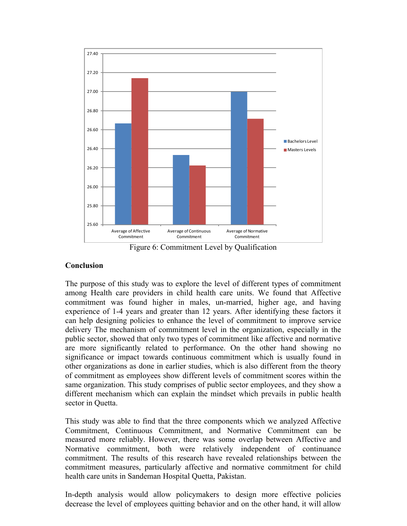

Figure 6: Commitment Level by Qualification

#### **Conclusion**

The purpose of this study was to explore the level of different types of commitment among Health care providers in child health care units. We found that Affective commitment was found higher in males, un-married, higher age, and having experience of 1-4 years and greater than 12 years. After identifying these factors it can help designing policies to enhance the level of commitment to improve service delivery The mechanism of commitment level in the organization, especially in the public sector, showed that only two types of commitment like affective and normative are more significantly related to performance. On the other hand showing no significance or impact towards continuous commitment which is usually found in other organizations as done in earlier studies, which is also different from the theory of commitment as employees show different levels of commitment scores within the same organization. This study comprises of public sector employees, and they show a different mechanism which can explain the mindset which prevails in public health sector in Quetta.

This study was able to find that the three components which we analyzed Affective Commitment, Continuous Commitment, and Normative Commitment can be measured more reliably. However, there was some overlap between Affective and Normative commitment, both were relatively independent of continuance commitment. The results of this research have revealed relationships between the commitment measures, particularly affective and normative commitment for child health care units in Sandeman Hospital Quetta, Pakistan.

In-depth analysis would allow policymakers to design more effective policies decrease the level of employees quitting behavior and on the other hand, it will allow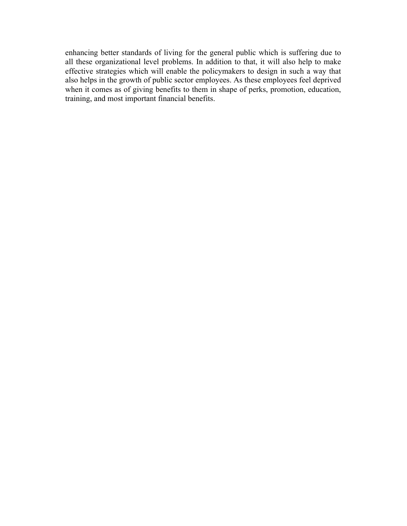enhancing better standards of living for the general public which is suffering due to all these organizational level problems. In addition to that, it will also help to make effective strategies which will enable the policymakers to design in such a way that also helps in the growth of public sector employees. As these employees feel deprived when it comes as of giving benefits to them in shape of perks, promotion, education, training, and most important financial benefits.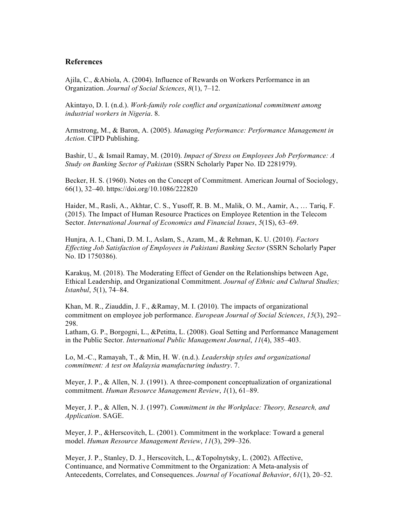#### **References**

Ajila, C., &Abiola, A. (2004). Influence of Rewards on Workers Performance in an Organization. *Journal of Social Sciences*, *8*(1), 7–12.

Akintayo, D. I. (n.d.). *Work-family role conflict and organizational commitment among industrial workers in Nigeria*. 8.

Armstrong, M., & Baron, A. (2005). *Managing Performance: Performance Management in Action*. CIPD Publishing.

Bashir, U., & Ismail Ramay, M. (2010). *Impact of Stress on Employees Job Performance: A Study on Banking Sector of Pakistan* (SSRN Scholarly Paper No. ID 2281979).

Becker, H. S. (1960). Notes on the Concept of Commitment. American Journal of Sociology, 66(1), 32–40. https://doi.org/10.1086/222820

Haider, M., Rasli, A., Akhtar, C. S., Yusoff, R. B. M., Malik, O. M., Aamir, A., … Tariq, F. (2015). The Impact of Human Resource Practices on Employee Retention in the Telecom Sector. *International Journal of Economics and Financial Issues*, *5*(1S), 63–69.

Hunjra, A. I., Chani, D. M. I., Aslam, S., Azam, M., & Rehman, K. U. (2010). *Factors Effecting Job Satisfaction of Employees in Pakistani Banking Sector* (SSRN Scholarly Paper No. ID 1750386).

Karakuş, M. (2018). The Moderating Effect of Gender on the Relationships between Age, Ethical Leadership, and Organizational Commitment. *Journal of Ethnic and Cultural Studies; Istanbul*, *5*(1), 74–84.

Khan, M. R., Ziauddin, J. F., &Ramay, M. I. (2010). The impacts of organizational commitment on employee job performance. *European Journal of Social Sciences*, *15*(3), 292– 298.

Latham, G. P., Borgogni, L., &Petitta, L. (2008). Goal Setting and Performance Management in the Public Sector. *International Public Management Journal*, *11*(4), 385–403.

Lo, M.-C., Ramayah, T., & Min, H. W. (n.d.). *Leadership styles and organizational commitment: A test on Malaysia manufacturing industry*. 7.

Meyer, J. P., & Allen, N. J. (1991). A three-component conceptualization of organizational commitment. *Human Resource Management Review*, *1*(1), 61–89.

Meyer, J. P., & Allen, N. J. (1997). *Commitment in the Workplace: Theory, Research, and Application*. SAGE.

Meyer, J. P., &Herscovitch, L. (2001). Commitment in the workplace: Toward a general model. *Human Resource Management Review*, *11*(3), 299–326.

Meyer, J. P., Stanley, D. J., Herscovitch, L., &Topolnytsky, L. (2002). Affective, Continuance, and Normative Commitment to the Organization: A Meta-analysis of Antecedents, Correlates, and Consequences. *Journal of Vocational Behavior*, *61*(1), 20–52.